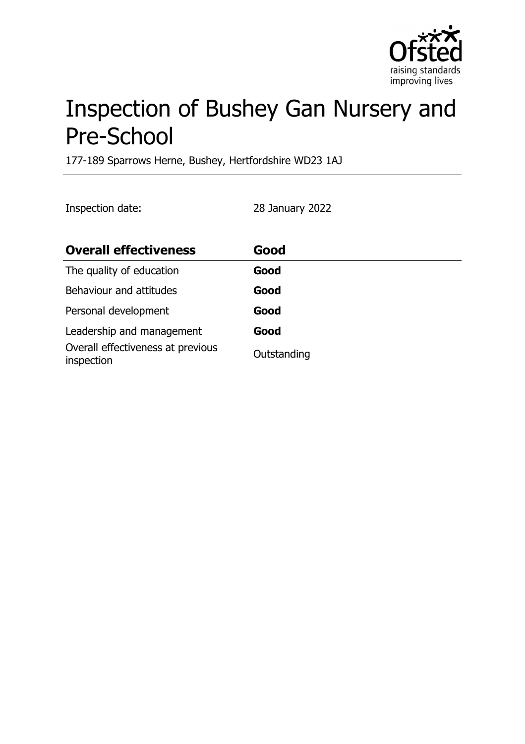

# Inspection of Bushey Gan Nursery and Pre-School

177-189 Sparrows Herne, Bushey, Hertfordshire WD23 1AJ

Inspection date: 28 January 2022

| <b>Overall effectiveness</b>                    | Good        |
|-------------------------------------------------|-------------|
| The quality of education                        | Good        |
| Behaviour and attitudes                         | Good        |
| Personal development                            | Good        |
| Leadership and management                       | Good        |
| Overall effectiveness at previous<br>inspection | Outstanding |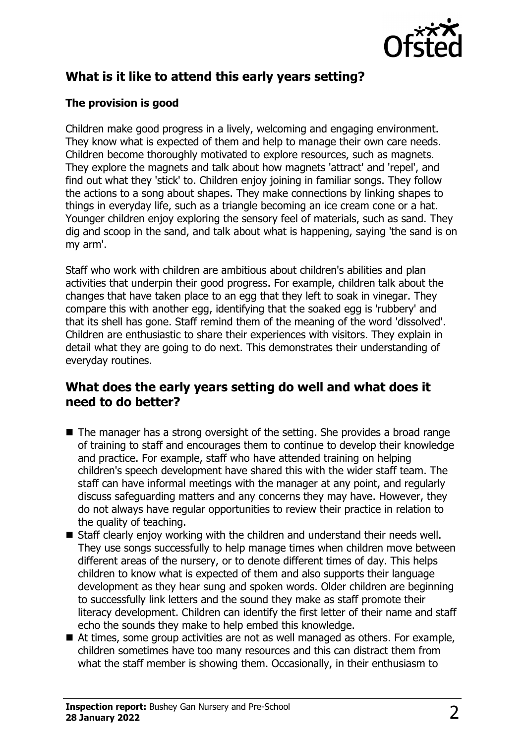

# **What is it like to attend this early years setting?**

#### **The provision is good**

Children make good progress in a lively, welcoming and engaging environment. They know what is expected of them and help to manage their own care needs. Children become thoroughly motivated to explore resources, such as magnets. They explore the magnets and talk about how magnets 'attract' and 'repel', and find out what they 'stick' to. Children enjoy joining in familiar songs. They follow the actions to a song about shapes. They make connections by linking shapes to things in everyday life, such as a triangle becoming an ice cream cone or a hat. Younger children enjoy exploring the sensory feel of materials, such as sand. They dig and scoop in the sand, and talk about what is happening, saying 'the sand is on my arm'.

Staff who work with children are ambitious about children's abilities and plan activities that underpin their good progress. For example, children talk about the changes that have taken place to an egg that they left to soak in vinegar. They compare this with another egg, identifying that the soaked egg is 'rubbery' and that its shell has gone. Staff remind them of the meaning of the word 'dissolved'. Children are enthusiastic to share their experiences with visitors. They explain in detail what they are going to do next. This demonstrates their understanding of everyday routines.

## **What does the early years setting do well and what does it need to do better?**

- $\blacksquare$  The manager has a strong oversight of the setting. She provides a broad range of training to staff and encourages them to continue to develop their knowledge and practice. For example, staff who have attended training on helping children's speech development have shared this with the wider staff team. The staff can have informal meetings with the manager at any point, and regularly discuss safeguarding matters and any concerns they may have. However, they do not always have regular opportunities to review their practice in relation to the quality of teaching.
- $\blacksquare$  Staff clearly enjoy working with the children and understand their needs well. They use songs successfully to help manage times when children move between different areas of the nursery, or to denote different times of day. This helps children to know what is expected of them and also supports their language development as they hear sung and spoken words. Older children are beginning to successfully link letters and the sound they make as staff promote their literacy development. Children can identify the first letter of their name and staff echo the sounds they make to help embed this knowledge.
- $\blacksquare$  At times, some group activities are not as well managed as others. For example, children sometimes have too many resources and this can distract them from what the staff member is showing them. Occasionally, in their enthusiasm to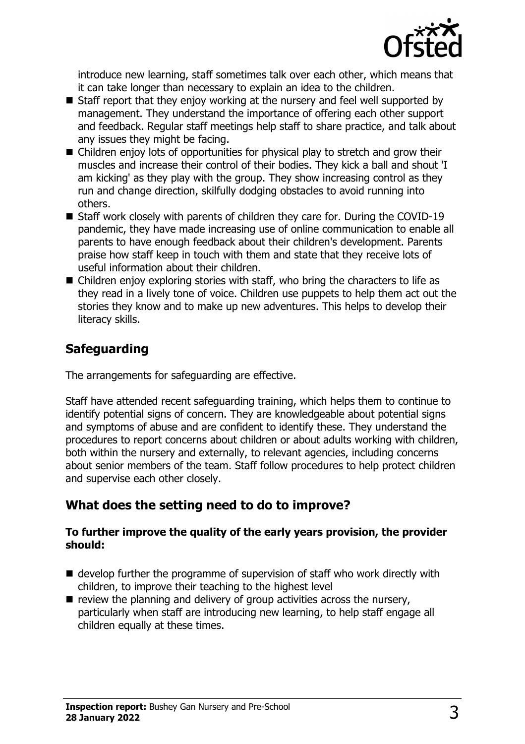

introduce new learning, staff sometimes talk over each other, which means that it can take longer than necessary to explain an idea to the children.

- $\blacksquare$  Staff report that they enjoy working at the nursery and feel well supported by management. They understand the importance of offering each other support and feedback. Regular staff meetings help staff to share practice, and talk about any issues they might be facing.
- $\blacksquare$  Children enjoy lots of opportunities for physical play to stretch and grow their muscles and increase their control of their bodies. They kick a ball and shout 'I am kicking' as they play with the group. They show increasing control as they run and change direction, skilfully dodging obstacles to avoid running into others.
- $\blacksquare$  Staff work closely with parents of children they care for. During the COVID-19 pandemic, they have made increasing use of online communication to enable all parents to have enough feedback about their children's development. Parents praise how staff keep in touch with them and state that they receive lots of useful information about their children.
- $\blacksquare$  Children enjoy exploring stories with staff, who bring the characters to life as they read in a lively tone of voice. Children use puppets to help them act out the stories they know and to make up new adventures. This helps to develop their literacy skills.

# **Safeguarding**

The arrangements for safeguarding are effective.

Staff have attended recent safeguarding training, which helps them to continue to identify potential signs of concern. They are knowledgeable about potential signs and symptoms of abuse and are confident to identify these. They understand the procedures to report concerns about children or about adults working with children, both within the nursery and externally, to relevant agencies, including concerns about senior members of the team. Staff follow procedures to help protect children and supervise each other closely.

# **What does the setting need to do to improve?**

#### **To further improve the quality of the early years provision, the provider should:**

- $\blacksquare$  develop further the programme of supervision of staff who work directly with children, to improve their teaching to the highest level
- $\blacksquare$  review the planning and delivery of group activities across the nursery, particularly when staff are introducing new learning, to help staff engage all children equally at these times.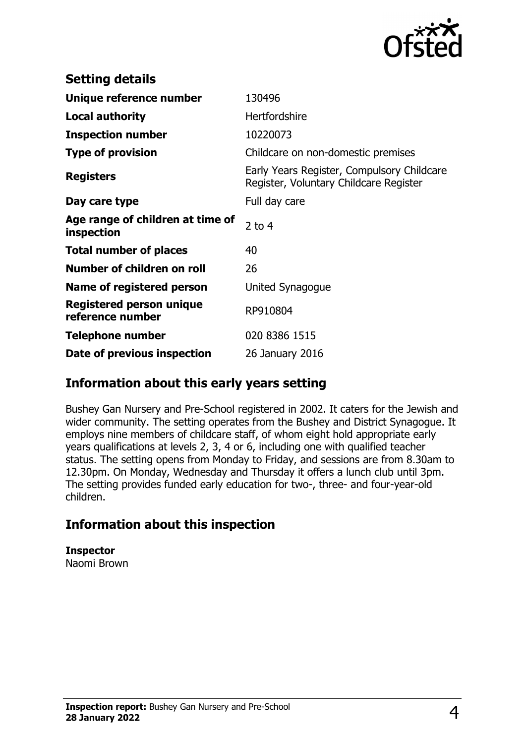

| <b>Setting details</b>                         |                                                                                      |
|------------------------------------------------|--------------------------------------------------------------------------------------|
| Unique reference number                        | 130496                                                                               |
| <b>Local authority</b>                         | <b>Hertfordshire</b>                                                                 |
| <b>Inspection number</b>                       | 10220073                                                                             |
| <b>Type of provision</b>                       | Childcare on non-domestic premises                                                   |
| <b>Registers</b>                               | Early Years Register, Compulsory Childcare<br>Register, Voluntary Childcare Register |
| Day care type                                  | Full day care                                                                        |
| Age range of children at time of<br>inspection | 2 to $4$                                                                             |
| <b>Total number of places</b>                  | 40                                                                                   |
| Number of children on roll                     | 26                                                                                   |
| Name of registered person                      | United Synagogue                                                                     |
| Registered person unique<br>reference number   | RP910804                                                                             |
| Telephone number                               | 020 8386 1515                                                                        |
| Date of previous inspection                    | 26 January 2016                                                                      |

## **Information about this early years setting**

Bushey Gan Nursery and Pre-School registered in 2002. It caters for the Jewish and wider community. The setting operates from the Bushey and District Synagogue. It employs nine members of childcare staff, of whom eight hold appropriate early years qualifications at levels 2, 3, 4 or 6, including one with qualified teacher status. The setting opens from Monday to Friday, and sessions are from 8.30am to 12.30pm. On Monday, Wednesday and Thursday it offers a lunch club until 3pm. The setting provides funded early education for two-, three- and four-year-old children.

## **Information about this inspection**

**Inspector** Naomi Brown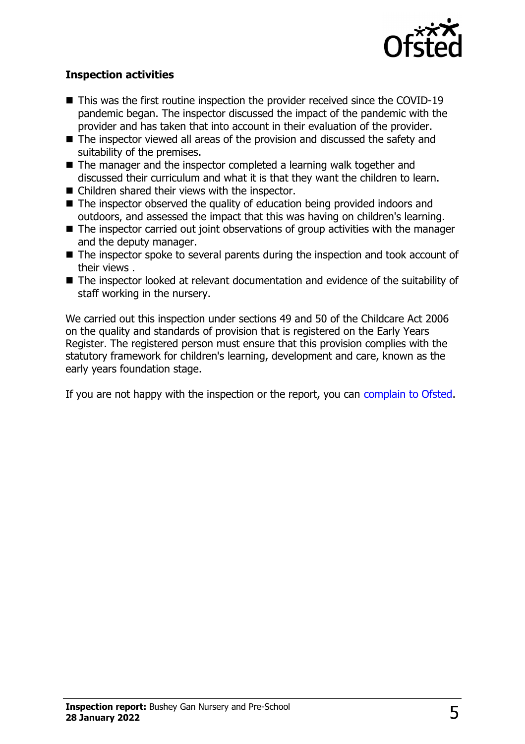

#### **Inspection activities**

- $\blacksquare$  This was the first routine inspection the provider received since the COVID-19 pandemic began. The inspector discussed the impact of the pandemic with the provider and has taken that into account in their evaluation of the provider.
- $\blacksquare$  The inspector viewed all areas of the provision and discussed the safety and suitability of the premises.
- $\blacksquare$  The manager and the inspector completed a learning walk together and discussed their curriculum and what it is that they want the children to learn.
- $\blacksquare$  Children shared their views with the inspector.
- $\blacksquare$  The inspector observed the quality of education being provided indoors and outdoors, and assessed the impact that this was having on children's learning.
- $\blacksquare$  The inspector carried out joint observations of group activities with the manager and the deputy manager.
- $\blacksquare$  The inspector spoke to several parents during the inspection and took account of their views .
- $\blacksquare$  The inspector looked at relevant documentation and evidence of the suitability of staff working in the nursery.

We carried out this inspection under sections 49 and 50 of the Childcare Act 2006 on the quality and standards of provision that is registered on the Early Years Register. The registered person must ensure that this provision complies with the statutory framework for children's learning, development and care, known as the early years foundation stage.

If you are not happy with the inspection or the report, you can [complain to Ofsted](http://www.gov.uk/complain-ofsted-report).